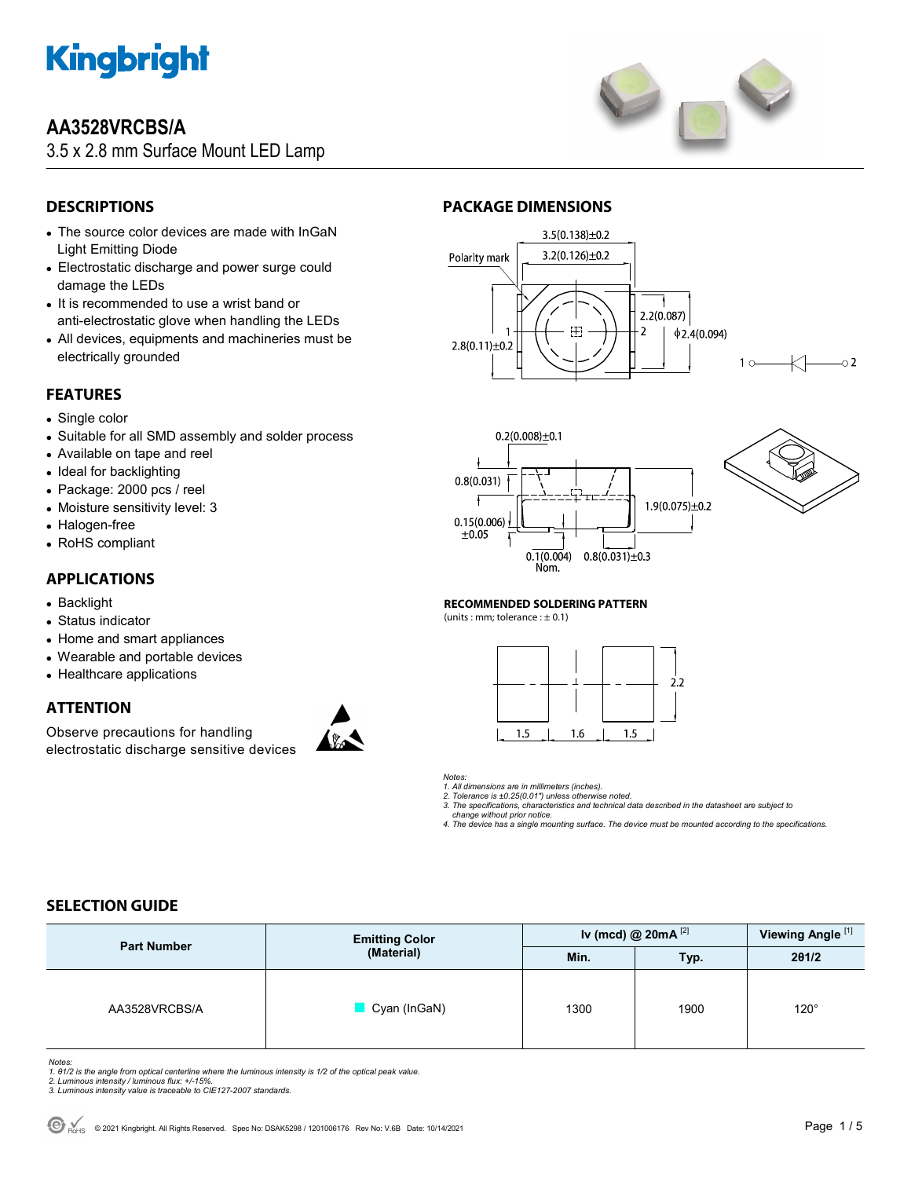

# **AA3528VRCBS/A**

3.5 x 2.8 mm Surface Mount LED Lamp



# **DESCRIPTIONS**

- The source color devices are made with InGaN Light Emitting Diode
- Electrostatic discharge and power surge could damage the LEDs
- It is recommended to use a wrist band or anti-electrostatic glove when handling the LEDs
- All devices, equipments and machineries must be electrically grounded

# **FEATURES**

- Single color
- Suitable for all SMD assembly and solder process
- Available on tape and reel
- Ideal for backlighting
- Package: 2000 pcs / reel
- Moisture sensitivity level: 3
- Halogen-free
- RoHS compliant

## **APPLICATIONS**

- Backlight
- Status indicator
- Home and smart appliances
- Wearable and portable devices
- Healthcare applications

# **ATTENTION**

Observe precautions for handling electrostatic discharge sensitive devices



## **PACKAGE DIMENSIONS**







#### **RECOMMENDED SOLDERING PATTERN**

(units : mm; tolerance :  $\pm$  0.1)



#### *Notes:*

*1. All dimensions are in millimeters (inches).* 

*2. Tolerance is ±0.25(0.01") unless otherwise noted. 3. The specifications, characteristics and technical data described in the datasheet are subject to* 

 *change without prior notice.* 

*4. The device has a single mounting surface. The device must be mounted according to the specifications.* 

# **SELECTION GUIDE**

| <b>Part Number</b> | <b>Emitting Color</b><br>(Material) | Iv (mcd) @ $20mA^{[2]}$ |      | Viewing Angle <sup>[1]</sup> |
|--------------------|-------------------------------------|-------------------------|------|------------------------------|
|                    |                                     | Min.                    | Typ. | 201/2                        |
| AA3528VRCBS/A      | Cyan (InGaN)                        | 1300                    | 1900 | $120^\circ$                  |

Notes:<br>1. 81/2 is the angle from optical centerline where the luminous intensity is 1/2 of the optical peak value.<br>2. Luminous intensity / luminous flux: +/-15%.<br>3. Luminous intensity value is traceable to CIE127-2007 stan

- 
-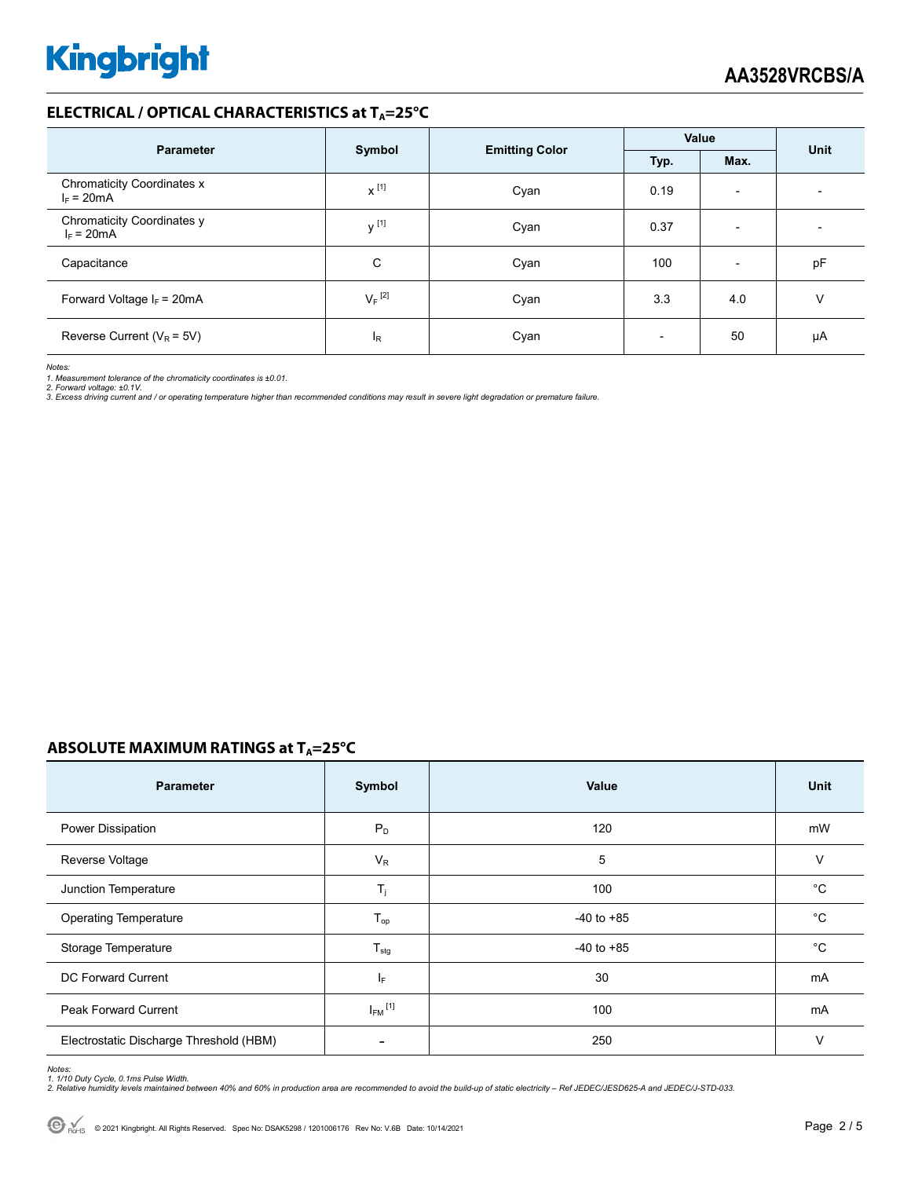## **ELECTRICAL / OPTICAL CHARACTERISTICS at TA=25°C**

| <b>Parameter</b>                           |                      | <b>Emitting Color</b> | Value                    |                          | Unit |  |
|--------------------------------------------|----------------------|-----------------------|--------------------------|--------------------------|------|--|
|                                            | Symbol               |                       | Typ.                     | Max.                     |      |  |
| Chromaticity Coordinates x<br>$I_F = 20mA$ | $x^{[1]}$            | Cyan                  | 0.19                     | $\overline{\phantom{a}}$ |      |  |
| Chromaticity Coordinates y<br>$I_F = 20mA$ | $V^{[1]}$            | Cyan                  | 0.37                     | $\overline{\phantom{a}}$ |      |  |
| Capacitance                                | C                    | Cyan                  | 100                      | $\overline{\phantom{0}}$ | pF   |  |
| Forward Voltage $I_F$ = 20mA               | $V_F$ <sup>[2]</sup> | Cyan                  | 3.3                      | 4.0                      | ν    |  |
| Reverse Current ( $V_R$ = 5V)              | l <sub>R</sub>       | Cyan                  | $\overline{\phantom{0}}$ | 50                       | μA   |  |

*Notes:* 

1. Measurement tolerance of the chromaticity coordinates is ±0.01.<br>2. Forward voltage: ±0.1V.<br>3. Excess driving current and / or operating temperature higher than recommended conditions may result in severe light degradati

### **ABSOLUTE MAXIMUM RATINGS at T<sub>A</sub>=25°C**

| <b>Parameter</b>                        | Symbol                  | <b>Value</b>   | Unit        |
|-----------------------------------------|-------------------------|----------------|-------------|
| <b>Power Dissipation</b>                | $P_D$                   | 120            | mW          |
| Reverse Voltage                         | $V_R$                   | 5              | V           |
| Junction Temperature                    | $T_j$                   | 100            | °C          |
| <b>Operating Temperature</b>            | $T_{op}$                | $-40$ to $+85$ | °C          |
| Storage Temperature                     | $T_{\text{stg}}$        | $-40$ to $+85$ | $^{\circ}C$ |
| DC Forward Current                      | IF.                     | 30             | mA          |
| <b>Peak Forward Current</b>             | $I_{FM}$ <sup>[1]</sup> | 100            | mA          |
| Electrostatic Discharge Threshold (HBM) |                         | 250            | $\vee$      |

Notes:<br>1. 1/10 Duty Cycle, 0.1ms Pulse Width.<br>2. Relative humidity levels maintained between 40% and 60% in production area are recommended to avoid the build-up of static electricity – Ref JEDEC/JESD625-A and JEDEC/J-STD-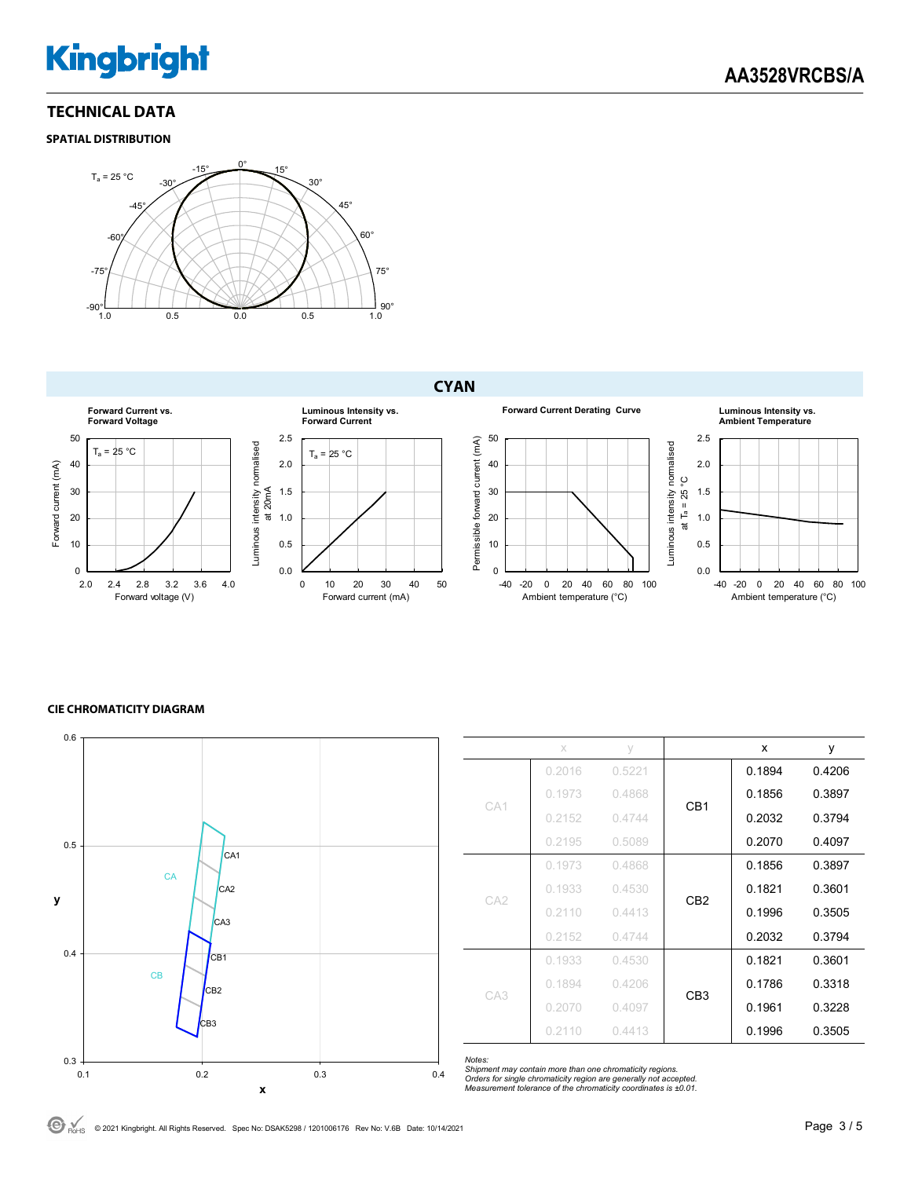# **Kingbright**

## **TECHNICAL DATA**

### **SPATIAL DISTRIBUTION**



# **CYAN**



#### **CIE CHROMATICITY DIAGRAM**



|                 | x      | V      |                 | x      | у      |
|-----------------|--------|--------|-----------------|--------|--------|
| CA1             | 0.2016 | 0.5221 | CB <sub>1</sub> | 0.1894 | 0.4206 |
|                 | 0.1973 | 0.4868 |                 | 0.1856 | 0.3897 |
|                 | 0.2152 | 0.4744 |                 | 0.2032 | 0.3794 |
|                 | 0.2195 | 0.5089 |                 | 0.2070 | 0.4097 |
| CA <sub>2</sub> | 0.1973 | 0.4868 | CB <sub>2</sub> | 0.1856 | 0.3897 |
|                 | 0.1933 | 0.4530 |                 | 0.1821 | 0.3601 |
|                 | 0.2110 | 0.4413 |                 | 0.1996 | 0.3505 |
|                 | 0.2152 | 0.4744 |                 | 0.2032 | 0.3794 |
| CA <sub>3</sub> | 0.1933 | 0.4530 | CB <sub>3</sub> | 0.1821 | 0.3601 |
|                 | 0.1894 | 0.4206 |                 | 0.1786 | 0.3318 |
|                 | 0.2070 | 0.4097 |                 | 0.1961 | 0.3228 |
|                 | 0.2110 | 0.4413 |                 | 0.1996 | 0.3505 |

*Notes: Shipment may contain more than one chromaticity regions. Orders for single chromaticity region are generally not accepted. Measurement tolerance of the chromaticity coordinates is ±0.01.*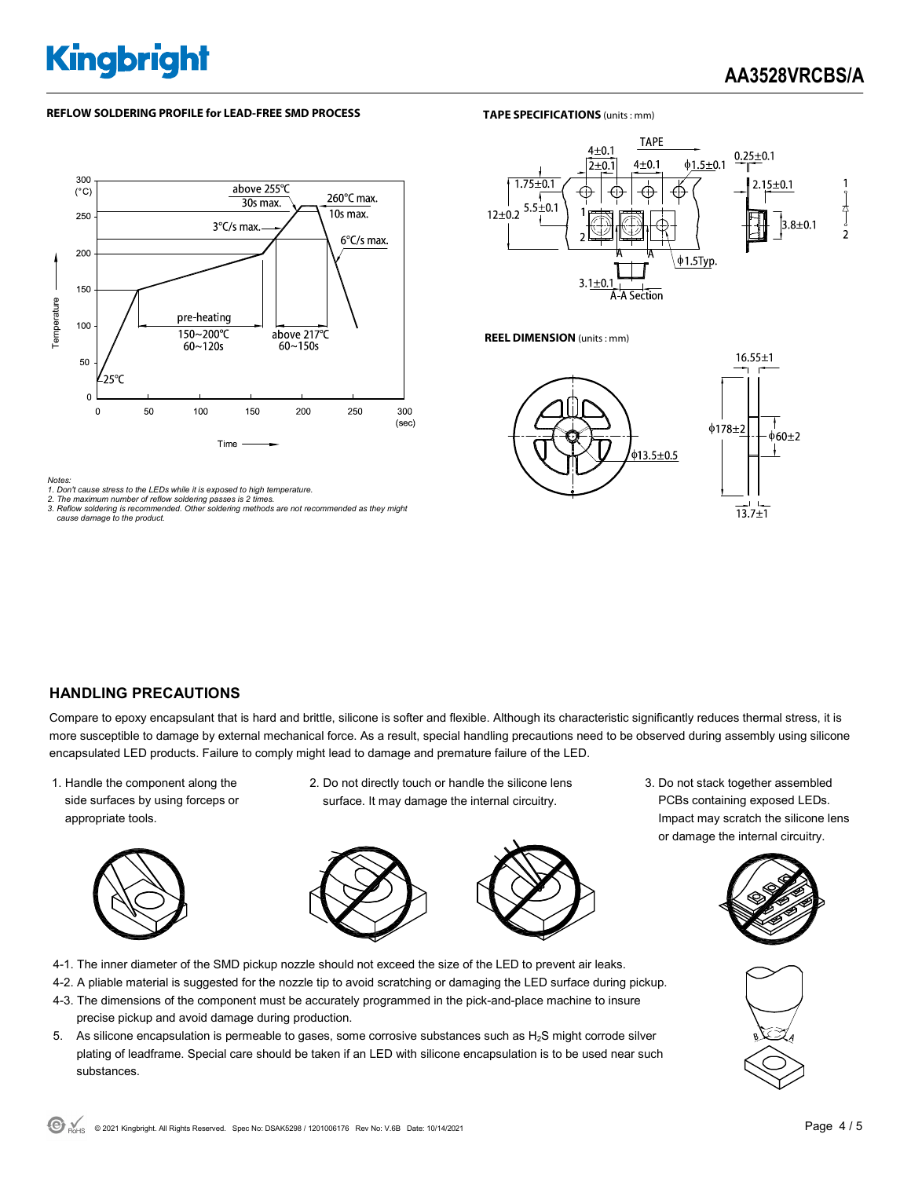# **Kingbright**

#### **REFLOW SOLDERING PROFILE for LEAD-FREE SMD PROCESS**

#### **TAPE SPECIFICATIONS** (units : mm)



#### *Notes:*

*1. Don't cause stress to the LEDs while it is exposed to high temperature. 2. The maximum number of reflow soldering passes is 2 times.* 

*3. Reflow soldering is recommended. Other soldering methods are not recommended as they might cause damage to the product.* 



**REEL DIMENSION** (units : mm)



### **HANDLING PRECAUTIONS**

Compare to epoxy encapsulant that is hard and brittle, silicone is softer and flexible. Although its characteristic significantly reduces thermal stress, it is more susceptible to damage by external mechanical force. As a result, special handling precautions need to be observed during assembly using silicone encapsulated LED products. Failure to comply might lead to damage and premature failure of the LED.

1. Handle the component along the side surfaces by using forceps or appropriate tools.



2. Do not directly touch or handle the silicone lens surface. It may damage the internal circuitry.



- 4-1. The inner diameter of the SMD pickup nozzle should not exceed the size of the LED to prevent air leaks.
- 4-2. A pliable material is suggested for the nozzle tip to avoid scratching or damaging the LED surface during pickup.
- 4-3. The dimensions of the component must be accurately programmed in the pick-and-place machine to insure precise pickup and avoid damage during production.
- 5. As silicone encapsulation is permeable to gases, some corrosive substances such as H2S might corrode silver plating of leadframe. Special care should be taken if an LED with silicone encapsulation is to be used near such substances.

3. Do not stack together assembled PCBs containing exposed LEDs. Impact may scratch the silicone lens or damage the internal circuitry.